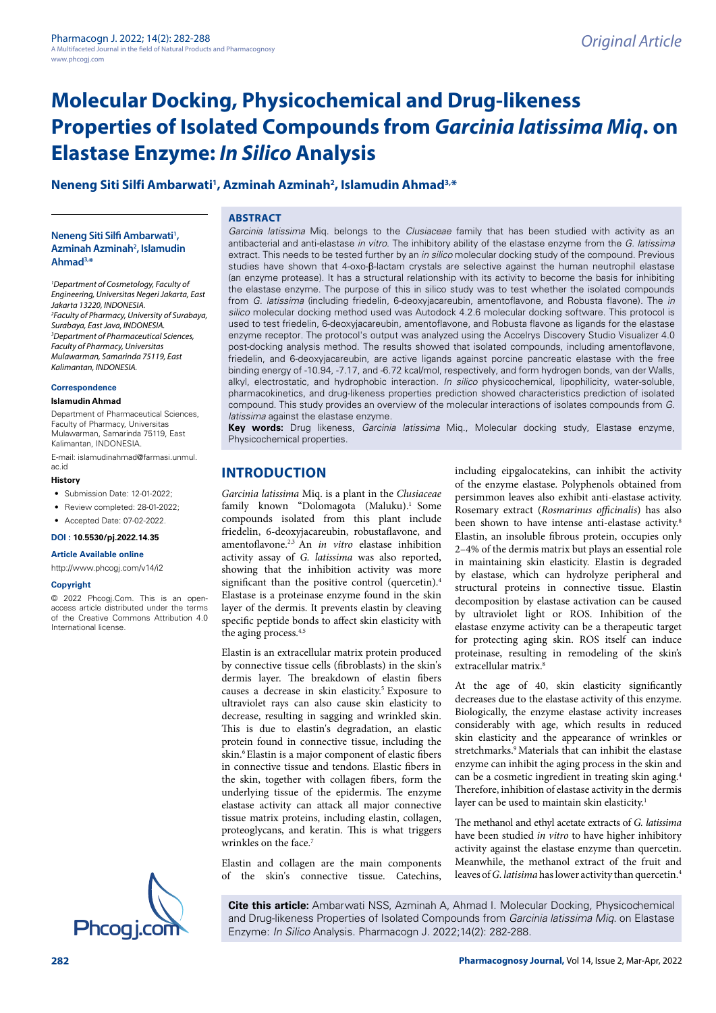# **Molecular Docking, Physicochemical and Drug-likeness Properties of Isolated Compounds from** *Garcinia latissima Miq***. on Elastase Enzyme:** *In Silico* **Analysis**

### **Neneng Siti Silfi Ambarwati1 , Azminah Azminah2 , Islamudin Ahmad3,\***

**Neneng Siti Silfi Ambarwati1 , Azminah Azminah2 , Islamudin Ahmad3,\***

*1 Department of Cosmetology, Faculty of Engineering, Universitas Negeri Jakarta, East Jakarta 13220, INDONESIA. 2 Faculty of Pharmacy, University of Surabaya, Surabaya, East Java, INDONESIA. 3 Department of Pharmaceutical Sciences, Faculty of Pharmacy, Universitas Mulawarman, Samarinda 75119, East Kalimantan, INDONESIA.*

#### **Correspondence**

#### **Islamudin Ahmad**

Department of Pharmaceutical Sciences, Faculty of Pharmacy, Universitas Mulawarman, Samarinda 75119, East Kalimantan, INDONESIA.

E-mail: islamudinahmad@farmasi.unmul.

#### ac.id **History**

- Submission Date: 12-01-2022;
- Review completed: 28-01-2022;
- Accepted Date: 07-02-2022.

**DOI : 10.5530/pj.2022.14.35**

#### **Article Available online**

[http://www.phcogj.com/v14/i2](http://www.phcogj.com/v13/i4)

#### **Copyright**

© 2022 Phcogj.Com. This is an openaccess article distributed under the terms of the Creative Commons Attribution 4.0 International license.



#### **ABSTRACT**

*Garcinia latissima* Miq. belongs to the *Clusiaceae* family that has been studied with activity as an antibacterial and anti-elastase *in vitro*. The inhibitory ability of the elastase enzyme from the *G. latissima* extract. This needs to be tested further by an *in silico* molecular docking study of the compound. Previous studies have shown that 4-oxo-β-lactam crystals are selective against the human neutrophil elastase (an enzyme protease). It has a structural relationship with its activity to become the basis for inhibiting the elastase enzyme. The purpose of this in silico study was to test whether the isolated compounds from *G. latissima* (including friedelin, 6-deoxyjacareubin, amentoflavone, and Robusta flavone). The *in silico* molecular docking method used was Autodock 4.2.6 molecular docking software. This protocol is used to test friedelin, 6-deoxyjacareubin, amentoflavone, and Robusta flavone as ligands for the elastase enzyme receptor. The protocol's output was analyzed using the Accelrys Discovery Studio Visualizer 4.0 post-docking analysis method. The results showed that isolated compounds, including amentoflavone, friedelin, and 6-deoxyjacareubin, are active ligands against porcine pancreatic elastase with the free binding energy of -10.94, -7.17, and -6.72 kcal/mol, respectively, and form hydrogen bonds, van der Walls, alkyl, electrostatic, and hydrophobic interaction. *In silico* physicochemical, lipophilicity, water-soluble, pharmacokinetics, and drug-likeness properties prediction showed characteristics prediction of isolated compound. This study provides an overview of the molecular interactions of isolates compounds from *G. latissima* against the elastase enzyme.

**Key words:** Drug likeness, *Garcinia latissima* Miq., Molecular docking study, Elastase enzyme, Physicochemical properties.

### **INTRODUCTION**

*Garcinia latissima* Miq. is a plant in the *Clusiaceae*  family known "Dolomagota (Maluku).<sup>1</sup> Some compounds isolated from this plant include friedelin, 6-deoxyjacareubin, robustaflavone, and amentoflavone.2,3 An *in vitro* elastase inhibition activity assay of *G. latissima* was also reported, showing that the inhibition activity was more significant than the positive control (quercetin).4 Elastase is a proteinase enzyme found in the skin layer of the dermis. It prevents elastin by cleaving specific peptide bonds to affect skin elasticity with the aging process.<sup>4,5</sup>

Elastin is an extracellular matrix protein produced by connective tissue cells (fibroblasts) in the skin's dermis layer. The breakdown of elastin fibers causes a decrease in skin elasticity.<sup>5</sup> Exposure to ultraviolet rays can also cause skin elasticity to decrease, resulting in sagging and wrinkled skin. This is due to elastin's degradation, an elastic protein found in connective tissue, including the skin.6 Elastin is a major component of elastic fibers in connective tissue and tendons. Elastic fibers in the skin, together with collagen fibers, form the underlying tissue of the epidermis. The enzyme elastase activity can attack all major connective tissue matrix proteins, including elastin, collagen, proteoglycans, and keratin. This is what triggers wrinkles on the face.<sup>7</sup>

Elastin and collagen are the main components of the skin's connective tissue. Catechins,

including eipgalocatekins, can inhibit the activity of the enzyme elastase. Polyphenols obtained from persimmon leaves also exhibit anti-elastase activity. Rosemary extract (*Rosmarinus officinalis*) has also been shown to have intense anti-elastase activity.<sup>8</sup> Elastin, an insoluble fibrous protein, occupies only 2–4% of the dermis matrix but plays an essential role in maintaining skin elasticity. Elastin is degraded by elastase, which can hydrolyze peripheral and structural proteins in connective tissue. Elastin decomposition by elastase activation can be caused by ultraviolet light or ROS. Inhibition of the elastase enzyme activity can be a therapeutic target for protecting aging skin. ROS itself can induce proteinase, resulting in remodeling of the skin's extracellular matrix.<sup>8</sup>

At the age of 40, skin elasticity significantly decreases due to the elastase activity of this enzyme. Biologically, the enzyme elastase activity increases considerably with age, which results in reduced skin elasticity and the appearance of wrinkles or stretchmarks.<sup>9</sup> Materials that can inhibit the elastase enzyme can inhibit the aging process in the skin and can be a cosmetic ingredient in treating skin aging.4 Therefore, inhibition of elastase activity in the dermis layer can be used to maintain skin elasticity.<sup>1</sup>

The methanol and ethyl acetate extracts of *G. latissima*  have been studied *in vitro* to have higher inhibitory activity against the elastase enzyme than quercetin. Meanwhile, the methanol extract of the fruit and leaves of *G. latisima* has lower activity than quercetin.4

**Cite this article:** Ambarwati NSS, Azminah A, Ahmad I. Molecular Docking, Physicochemical and Drug-likeness Properties of Isolated Compounds from *Garcinia latissima Miq.* on Elastase<br>Enzyme: *In Silico* Analysis. Pharmacogn J. 2022;14(2): 282-288.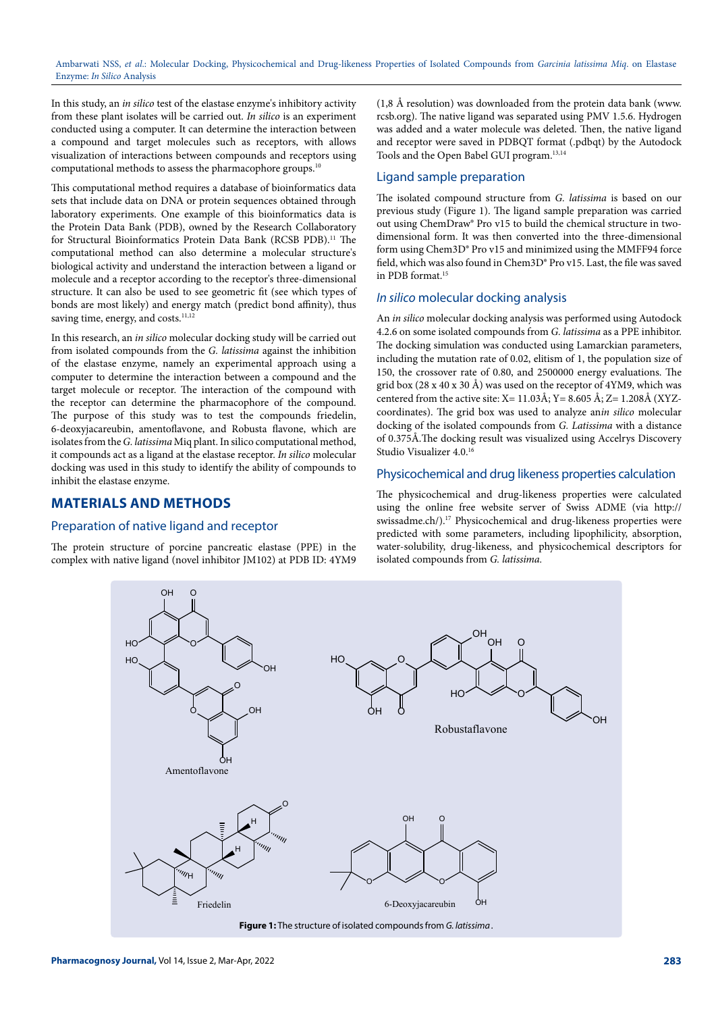In this study, an *in silico* test of the elastase enzyme's inhibitory activity from these plant isolates will be carried out. *In silico* is an experiment conducted using a computer. It can determine the interaction between a compound and target molecules such as receptors, with allows visualization of interactions between compounds and receptors using computational methods to assess the pharmacophore groups.10

This computational method requires a database of bioinformatics data sets that include data on DNA or protein sequences obtained through laboratory experiments. One example of this bioinformatics data is the Protein Data Bank (PDB), owned by the Research Collaboratory for Structural Bioinformatics Protein Data Bank (RCSB PDB).<sup>11</sup> The computational method can also determine a molecular structure's biological activity and understand the interaction between a ligand or molecule and a receptor according to the receptor's three-dimensional structure. It can also be used to see geometric fit (see which types of bonds are most likely) and energy match (predict bond affinity), thus saving time, energy, and costs.<sup>11,12</sup>

In this research, an *in silico* molecular docking study will be carried out from isolated compounds from the *G. latissima* against the inhibition of the elastase enzyme, namely an experimental approach using a computer to determine the interaction between a compound and the target molecule or receptor. The interaction of the compound with the receptor can determine the pharmacophore of the compound. The purpose of this study was to test the compounds friedelin, 6-deoxyjacareubin, amentoflavone, and Robusta flavone, which are isolates from the *G. latissima* Miq plant. In silico computational method, it compounds act as a ligand at the elastase receptor. *In silico* molecular docking was used in this study to identify the ability of compounds to inhibit the elastase enzyme.

### **MATERIALS AND METHODS**

#### Preparation of native ligand and receptor

The protein structure of porcine pancreatic elastase (PPE) in the complex with native ligand (novel inhibitor JM102) at PDB ID: 4YM9

(1,8 Å resolution) was downloaded from the protein data bank ([www.](http://www.rcsb.org) [rcsb.org\)](http://www.rcsb.org). The native ligand was separated using PMV 1.5.6. Hydrogen was added and a water molecule was deleted. Then, the native ligand and receptor were saved in PDBQT format (.pdbqt) by the Autodock Tools and the Open Babel GUI program.13,14

#### Ligand sample preparation

The isolated compound structure from *G. latissima* is based on our previous study (Figure 1). The ligand sample preparation was carried out using ChemDraw® Pro v15 to build the chemical structure in twodimensional form. It was then converted into the three-dimensional form using Chem3D® Pro v15 and minimized using the MMFF94 force field, which was also found in Chem3D® Pro v15. Last, the file was saved in PDB format.15

#### *In silico* molecular docking analysis

An *in silico* molecular docking analysis was performed using Autodock 4.2.6 on some isolated compounds from *G. latissima* as a PPE inhibitor. The docking simulation was conducted using Lamarckian parameters, including the mutation rate of 0.02, elitism of 1, the population size of 150, the crossover rate of 0.80, and 2500000 energy evaluations. The grid box (28 x 40 x 30 Å) was used on the receptor of 4YM9, which was centered from the active site:  $X=11.03\text{\AA}$ ;  $Y=8.605\text{\AA}$ ;  $Z=1.208\text{\AA}$  (XYZcoordinates). The grid box was used to analyze an*in silico* molecular docking of the isolated compounds from *G. Latissima* with a distance of 0.375Å.The docking result was visualized using Accelrys Discovery Studio Visualizer 4.0.16

#### Physicochemical and drug likeness properties calculation

The physicochemical and drug-likeness properties were calculated using the online free website server of Swiss ADME (via [http://](http://swissadme.ch/) [swissadme.ch/](http://swissadme.ch/)).<sup>17</sup> Physicochemical and drug-likeness properties were predicted with some parameters, including lipophilicity, absorption, water-solubility, drug-likeness, and physicochemical descriptors for isolated compounds from *G. latissima.*

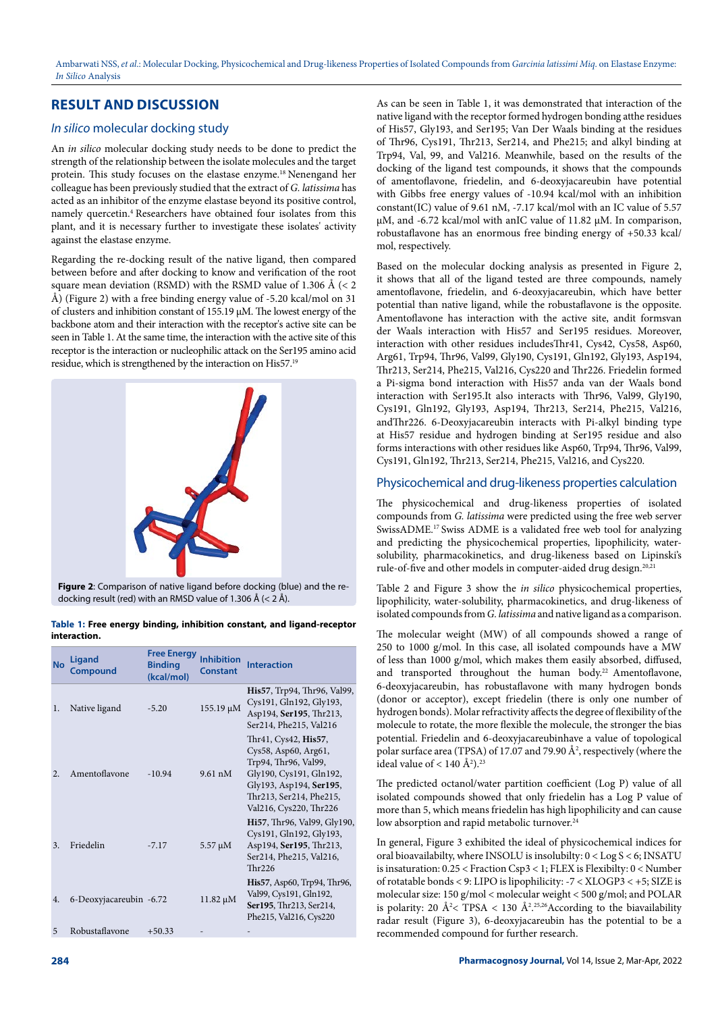## **RESULT AND DISCUSSION**

### *In silico* molecular docking study

An *in silico* molecular docking study needs to be done to predict the strength of the relationship between the isolate molecules and the target protein. This study focuses on the elastase enzyme.18 Nenengand her colleague has been previously studied that the extract of *G. latissima* has acted as an inhibitor of the enzyme elastase beyond its positive control, namely quercetin.4 Researchers have obtained four isolates from this plant, and it is necessary further to investigate these isolates' activity against the elastase enzyme.

Regarding the re-docking result of the native ligand, then compared between before and after docking to know and verification of the root square mean deviation (RSMD) with the RSMD value of 1.306 Å ( $<$  2 Å) (Figure 2) with a free binding energy value of -5.20 kcal/mol on 31 of clusters and inhibition constant of 155.19 µM. The lowest energy of the backbone atom and their interaction with the receptor's active site can be seen in Table 1. At the same time, the interaction with the active site of this receptor is the interaction or nucleophilic attack on the Ser195 amino acid residue, which is strengthened by the interaction on His57.19



**Figure 2**: Comparison of native ligand before docking (blue) and the redocking result (red) with an RMSD value of 1.306 Å (< 2 Å).

**Table 1: Free energy binding, inhibition constant, and ligand-receptor interaction.**

| <b>No</b> | Ligand<br>Compound      | <b>Free Energy</b><br><b>Binding</b><br>(kcal/mol) | Inhibition<br>Constant | <b>Interaction</b>                                                                                                                                                              |
|-----------|-------------------------|----------------------------------------------------|------------------------|---------------------------------------------------------------------------------------------------------------------------------------------------------------------------------|
| 1.        | Native ligand           | $-5.20$                                            | 155.19 μM              | His57, Trp94, Thr96, Val99,<br>Cys191, Gln192, Gly193,<br>Asp194, Ser195, Thr213,<br>Ser214, Phe215, Val216                                                                     |
| 2.        | Amentoflavone           | $-10.94$                                           | $9.61 \text{ nM}$      | Thr41, Cys42, His57,<br>Cys58, Asp60, Arg61,<br>Trp94, Thr96, Val99,<br>Gly190, Cys191, Gln192,<br>Gly193, Asp194, Ser195,<br>Thr213, Ser214, Phe215,<br>Val216, Cys220, Thr226 |
| 3.        | Friedelin               | $-7.17$                                            | $5.57 \mu M$           | Hi57, Thr96, Val99, Gly190,<br>Cys191, Gln192, Gly193,<br>Asp194, Ser195, Thr213,<br>Ser214, Phe215, Val216,<br>Thr226                                                          |
| 4.        | 6-Deoxyjacareubin -6.72 |                                                    | $11.82 \mu M$          | His57, Asp60, Trp94, Thr96,<br>Val99, Cys191, Gln192,<br>Ser195, Thr213, Ser214,<br>Phe215, Val216, Cys220                                                                      |
| 5         | Robustaflavone          | $+50.33$                                           |                        |                                                                                                                                                                                 |

As can be seen in Table 1, it was demonstrated that interaction of the native ligand with the receptor formed hydrogen bonding atthe residues of His57, Gly193, and Ser195; Van Der Waals binding at the residues of Thr96, Cys191, Thr213, Ser214, and Phe215; and alkyl binding at Trp94, Val, 99, and Val216. Meanwhile, based on the results of the docking of the ligand test compounds, it shows that the compounds of amentoflavone, friedelin, and 6-deoxyjacareubin have potential with Gibbs free energy values of -10.94 kcal/mol with an inhibition constant(IC) value of 9.61 nM, -7.17 kcal/mol with an IC value of 5.57 µM, and -6.72 kcal/mol with anIC value of 11.82 µM. In comparison, robustaflavone has an enormous free binding energy of +50.33 kcal/ mol, respectively.

Based on the molecular docking analysis as presented in Figure 2, it shows that all of the ligand tested are three compounds, namely amentoflavone, friedelin, and 6-deoxyjacareubin, which have better potential than native ligand, while the robustaflavone is the opposite. Amentoflavone has interaction with the active site, andit formsvan der Waals interaction with His57 and Ser195 residues. Moreover, interaction with other residues includesThr41, Cys42, Cys58, Asp60, Arg61, Trp94, Thr96, Val99, Gly190, Cys191, Gln192, Gly193, Asp194, Thr213, Ser214, Phe215, Val216, Cys220 and Thr226. Friedelin formed a Pi-sigma bond interaction with His57 anda van der Waals bond interaction with Ser195.It also interacts with Thr96, Val99, Gly190, Cys191, Gln192, Gly193, Asp194, Thr213, Ser214, Phe215, Val216, andThr226. 6-Deoxyjacareubin interacts with Pi-alkyl binding type at His57 residue and hydrogen binding at Ser195 residue and also forms interactions with other residues like Asp60, Trp94, Thr96, Val99, Cys191, Gln192, Thr213, Ser214, Phe215, Val216, and Cys220.

### Physicochemical and drug-likeness properties calculation

The physicochemical and drug-likeness properties of isolated compounds from *G. latissima* were predicted using the free web server SwissADME.17 Swiss ADME is a validated free web tool for analyzing and predicting the physicochemical properties, lipophilicity, watersolubility, pharmacokinetics, and drug-likeness based on Lipinski's rule-of-five and other models in computer-aided drug design.<sup>20,21</sup>

Table 2 and Figure 3 show the *in silico* physicochemical properties, lipophilicity, water-solubility, pharmacokinetics, and drug-likeness of isolated compounds from *G. latissima* and native ligand as a comparison.

The molecular weight (MW) of all compounds showed a range of 250 to 1000 g/mol. In this case, all isolated compounds have a MW of less than 1000 g/mol, which makes them easily absorbed, diffused, and transported throughout the human body.<sup>22</sup> Amentoflavone, 6-deoxyjacareubin, has robustaflavone with many hydrogen bonds (donor or acceptor), except friedelin (there is only one number of hydrogen bonds). Molar refractivity affects the degree of flexibility of the molecule to rotate, the more flexible the molecule, the stronger the bias potential. Friedelin and 6-deoxyjacareubinhave a value of topological polar surface area (TPSA) of 17.07 and 79.90  $\AA^2$ , respectively (where the ideal value of  $< 140 \text{ Å}^2$ ).<sup>23</sup>

The predicted octanol/water partition coefficient (Log P) value of all isolated compounds showed that only friedelin has a Log P value of more than 5, which means friedelin has high lipophilicity and can cause low absorption and rapid metabolic turnover.<sup>24</sup>

In general, Figure 3 exhibited the ideal of physicochemical indices for oral bioavailabilty, where INSOLU is insolubilty: 0 < Log S < 6; INSATU is insaturation: 0.25 < Fraction Csp3 < 1; FLEX is Flexibilty: 0 < Number of rotatable bonds < 9: LIPO is lipophilicity: -7 < XLOGP3 < +5; SIZE is molecular size: 150 g/mol < molecular weight < 500 g/mol; and POLAR is polarity: 20  $\rm \AA^2$  < TPSA < 130  $\rm \AA^2$ .<sup>25,26</sup> According to the biavailability radar result (Figure 3), 6-deoxyjacareubin has the potential to be a recommended compound for further research.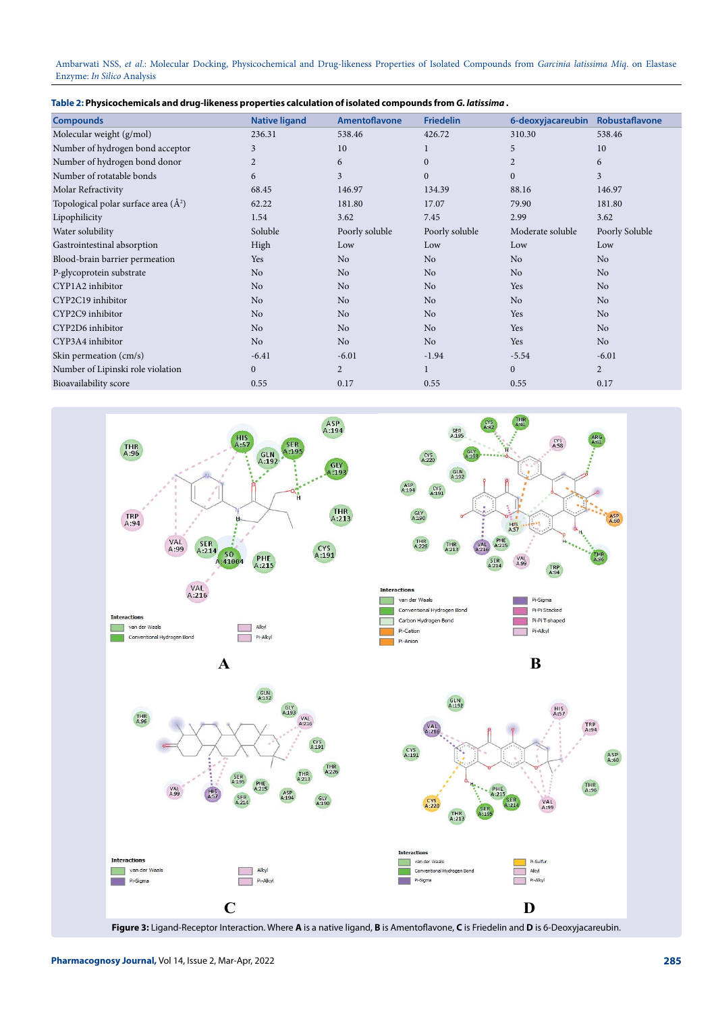Ambarwati NSS, *et al*.: Molecular Docking, Physicochemical and Drug-likeness Properties of Isolated Compounds from *Garcinia latissima Miq*. on Elastase Enzyme: *In Silico* Analysis

| . Table 2: Physicochemicals and drug-likeness properties calculation of isolated compounds from G. <i>latissima</i> |  |  |
|---------------------------------------------------------------------------------------------------------------------|--|--|
|---------------------------------------------------------------------------------------------------------------------|--|--|

| <b>Compounds</b>                         | <b>Native ligand</b> | Amentoflavone  | <b>Friedelin</b> | 6-deoxyjacareubin | Robustaflavone |
|------------------------------------------|----------------------|----------------|------------------|-------------------|----------------|
| Molecular weight (g/mol)                 | 236.31               | 538.46         | 426.72           | 310.30            | 538.46         |
| Number of hydrogen bond acceptor         | 3                    | 10             | 1                | 5                 | 10             |
| Number of hydrogen bond donor            | $\overline{2}$       | 6              | $\mathbf{0}$     | $\overline{2}$    | 6              |
| Number of rotatable bonds                | 6                    | 3              | $\Omega$         | $\Omega$          | 3              |
| Molar Refractivity                       | 68.45                | 146.97         | 134.39           | 88.16             | 146.97         |
| Topological polar surface area $(\AA^2)$ | 62.22                | 181.80         | 17.07            | 79.90             | 181.80         |
| Lipophilicity                            | 1.54                 | 3.62           | 7.45             | 2.99              | 3.62           |
| Water solubility                         | Soluble              | Poorly soluble | Poorly soluble   | Moderate soluble  | Poorly Soluble |
| Gastrointestinal absorption              | High                 | Low            | Low              | Low               | Low            |
| Blood-brain barrier permeation           | Yes                  | N <sub>o</sub> | N <sub>o</sub>   | N <sub>o</sub>    | N <sub>o</sub> |
| P-glycoprotein substrate                 | N <sub>o</sub>       | N <sub>o</sub> | N <sub>o</sub>   | N <sub>o</sub>    | No             |
| CYP1A2 inhibitor                         | No                   | No             | No               | <b>Yes</b>        | No             |
| CYP2C19 inhibitor                        | N <sub>o</sub>       | N <sub>o</sub> | N <sub>o</sub>   | No                | N <sub>o</sub> |
| CYP2C9 inhibitor                         | No                   | N <sub>o</sub> | No               | Yes               | No             |
| CYP2D6 inhibitor                         | No                   | N <sub>o</sub> | N <sub>o</sub>   | Yes               | N <sub>o</sub> |
| CYP3A4 inhibitor                         | N <sub>o</sub>       | N <sub>o</sub> | N <sub>o</sub>   | Yes               | No             |
| Skin permeation (cm/s)                   | $-6.41$              | $-6.01$        | $-1.94$          | $-5.54$           | $-6.01$        |
| Number of Lipinski role violation        | $\boldsymbol{0}$     | $\overline{2}$ | 1                | $\mathbf{0}$      | $\overline{c}$ |
| Bioavailability score                    | 0.55                 | 0.17           | 0.55             | 0.55              | 0.17           |

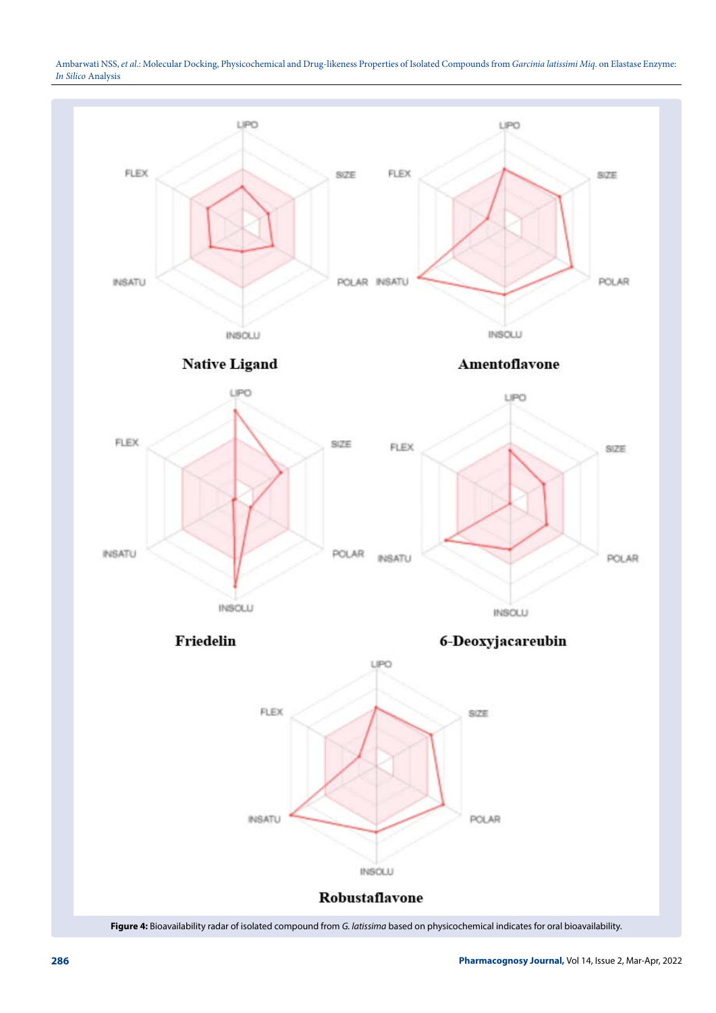Ambarwati NSS, *et al*.: Molecular Docking, Physicochemical and Drug-likeness Properties of Isolated Compounds from *Garcinia latissimi Miq*. on Elastase Enzyme: *In Silico* Analysis

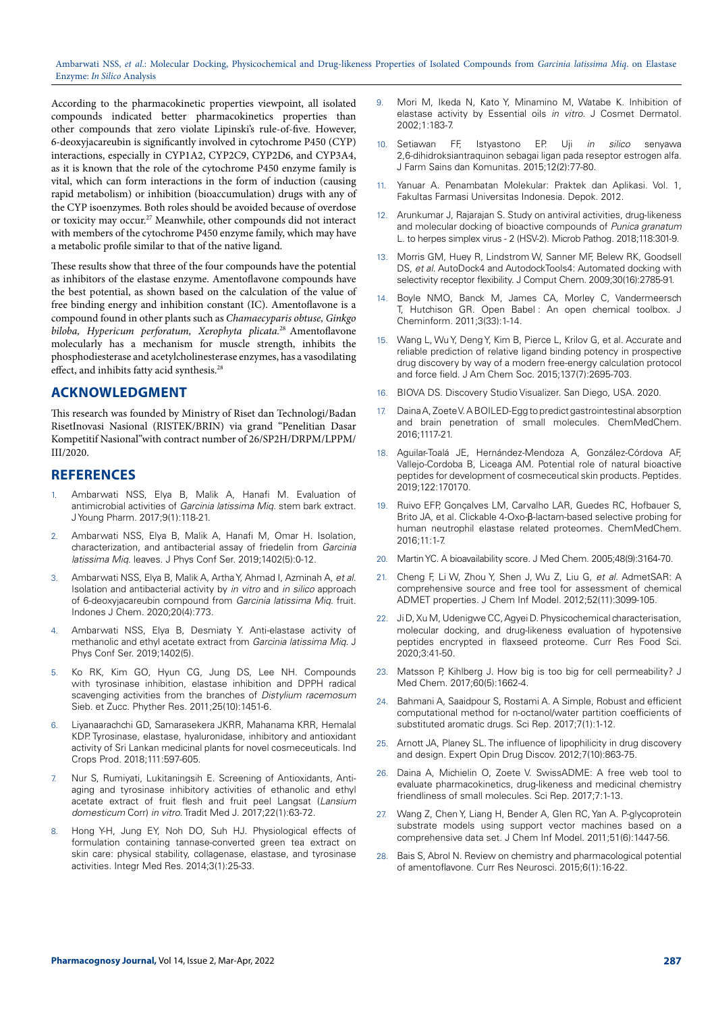Ambarwati NSS, *et al*.: Molecular Docking, Physicochemical and Drug-likeness Properties of Isolated Compounds from *Garcinia latissima Miq*. on Elastase Enzyme: *In Silico* Analysis

According to the pharmacokinetic properties viewpoint, all isolated compounds indicated better pharmacokinetics properties than other compounds that zero violate Lipinski's rule-of-five. However, 6-deoxyjacareubin is significantly involved in cytochrome P450 (CYP) interactions, especially in CYP1A2, CYP2C9, CYP2D6, and CYP3A4, as it is known that the role of the cytochrome P450 enzyme family is vital, which can form interactions in the form of induction (causing rapid metabolism) or inhibition (bioaccumulation) drugs with any of the CYP isoenzymes. Both roles should be avoided because of overdose or toxicity may occur.27 Meanwhile, other compounds did not interact with members of the cytochrome P450 enzyme family, which may have a metabolic profile similar to that of the native ligand.

These results show that three of the four compounds have the potential as inhibitors of the elastase enzyme. Amentoflavone compounds have the best potential, as shown based on the calculation of the value of free binding energy and inhibition constant (IC). Amentoflavone is a compound found in other plants such as *Chamaecyparis obtuse, Ginkgo biloba, Hypericum perforatum, Xerophyta plicata.*<sup>28</sup> Amentoflavone molecularly has a mechanism for muscle strength, inhibits the phosphodiesterase and acetylcholinesterase enzymes, has a vasodilating effect, and inhibits fatty acid synthesis. $^{28}$ 

#### **ACKNOWLEDGMENT**

This research was founded by Ministry of Riset dan Technologi/Badan RisetInovasi Nasional (RISTEK/BRIN) via grand "Penelitian Dasar Kompetitif Nasional"with contract number of 26/SP2H/DRPM/LPPM/ III/2020.

#### **REFERENCES**

- 1. Ambarwati NSS, Elya B, Malik A, Hanafi M. Evaluation of antimicrobial activities of *Garcinia latissima Miq.* stem bark extract. J Young Pharm. 2017;9(1):118-21.
- 2. Ambarwati NSS, Elya B, Malik A, Hanafi M, Omar H. Isolation, characterization, and antibacterial assay of friedelin from *Garcinia latissima Miq.* leaves. J Phys Conf Ser. 2019;1402(5):0-12.
- 3. Ambarwati NSS, Elya B, Malik A, Artha Y, Ahmad I, Azminah A, *et al*. Isolation and antibacterial activity by *in vitro* and *in silico* approach of 6-deoxyjacareubin compound from *Garcinia latissima Miq*. fruit. Indones J Chem. 2020;20(4):773.
- 4. Ambarwati NSS, Elya B, Desmiaty Y. Anti-elastase activity of methanolic and ethyl acetate extract from *Garcinia latissima Miq*. J Phys Conf Ser. 2019;1402(5).
- 5. Ko RK, Kim GO, Hyun CG, Jung DS, Lee NH. Compounds with tyrosinase inhibition, elastase inhibition and DPPH radical scavenging activities from the branches of *Distylium racemosum*  Sieb. et Zucc. Phyther Res. 2011;25(10):1451-6.
- Liyanaarachchi GD, Samarasekera JKRR, Mahanama KRR, Hemalal KDP. Tyrosinase, elastase, hyaluronidase, inhibitory and antioxidant activity of Sri Lankan medicinal plants for novel cosmeceuticals. Ind Crops Prod. 2018;111:597-605.
- 7. Nur S, Rumiyati, Lukitaningsih E. Screening of Antioxidants, Antiaging and tyrosinase inhibitory activities of ethanolic and ethyl acetate extract of fruit flesh and fruit peel Langsat (*Lansium domesticum* Corr) *in vitro*. Tradit Med J. 2017;22(1):63-72.
- 8. Hong Y-H, Jung EY, Noh DO, Suh HJ. Physiological effects of formulation containing tannase-converted green tea extract on skin care: physical stability, collagenase, elastase, and tyrosinase activities. Integr Med Res. 2014;3(1):25-33.
- 9. Mori M, Ikeda N, Kato Y, Minamino M, Watabe K. Inhibition of elastase activity by Essential oils *in vitro*. J Cosmet Dermatol. 2002;1:183-7.
- 10. Setiawan FF, Istyastono EP. Uji *in silico* senyawa 2,6-dihidroksiantraquinon sebagai ligan pada reseptor estrogen alfa. J Farm Sains dan Komunitas. 2015;12(2):77-80.
- 11. Yanuar A. Penambatan Molekular: Praktek dan Aplikasi. Vol. 1, Fakultas Farmasi Universitas Indonesia. Depok. 2012.
- 12. Arunkumar J, Rajarajan S. Study on antiviral activities, drug-likeness and molecular docking of bioactive compounds of *Punica granatum* L. to herpes simplex virus - 2 (HSV-2). Microb Pathog. 2018;118:301-9.
- 13. Morris GM, Huey R, Lindstrom W, Sanner MF, Belew RK, Goodsell DS, *et al*. AutoDock4 and AutodockTools4: Automated docking with selectivity receptor flexibility. J Comput Chem. 2009;30(16):2785-91.
- 14. Boyle NMO, Banck M, James CA, Morley C, Vandermeersch T, Hutchison GR. Open Babel : An open chemical toolbox. J Cheminform. 2011;3(33):1-14.
- 15. Wang L, Wu Y, Deng Y, Kim B, Pierce L, Krilov G, et al. Accurate and reliable prediction of relative ligand binding potency in prospective drug discovery by way of a modern free-energy calculation protocol and force field. J Am Chem Soc. 2015;137(7):2695-703.
- 16. BIOVA DS. Discovery Studio Visualizer. San Diego, USA. 2020.
- 17. Daina A, Zoete V. A BOILED-Egg to predict gastrointestinal absorption and brain penetration of small molecules. ChemMedChem. 2016;1117-21.
- 18. Aguilar-Toalá JE, Hernández-Mendoza A, González-Córdova AF, Vallejo-Cordoba B, Liceaga AM. Potential role of natural bioactive peptides for development of cosmeceutical skin products. Peptides. 2019;122:170170.
- 19. Ruivo EFP, Gonçalves LM, Carvalho LAR, Guedes RC, Hofbauer S, Brito JA, et al. Clickable 4-Oxo-β-lactam-based selective probing for human neutrophil elastase related proteomes. ChemMedChem.  $2016:11:1-7$
- 20. Martin YC. A bioavailability score. J Med Chem. 2005;48(9):3164-70.
- 21. Cheng F, Li W, Zhou Y, Shen J, Wu Z, Liu G, *et al*. AdmetSAR: A comprehensive source and free tool for assessment of chemical ADMET properties. J Chem Inf Model. 2012;52(11):3099-105.
- 22. Ji D, Xu M, Udenigwe CC, Agyei D. Physicochemical characterisation, molecular docking, and drug-likeness evaluation of hypotensive peptides encrypted in flaxseed proteome. Curr Res Food Sci. 2020;3:41-50.
- 23. Matsson P, Kihlberg J. How big is too big for cell permeability? J Med Chem. 2017;60(5):1662-4.
- 24. Bahmani A, Saaidpour S, Rostami A. A Simple, Robust and efficient computational method for n-octanol/water partition coefficients of substituted aromatic drugs. Sci Rep. 2017;7(1):1-12.
- 25. Arnott JA, Planey SL. The influence of lipophilicity in drug discovery and design. Expert Opin Drug Discov. 2012;7(10):863-75.
- 26. Daina A, Michielin O, Zoete V. SwissADME: A free web tool to evaluate pharmacokinetics, drug-likeness and medicinal chemistry friendliness of small molecules. Sci Rep. 2017;7:1-13.
- 27. Wang Z, Chen Y, Liang H, Bender A, Glen RC, Yan A. P-glycoprotein substrate models using support vector machines based on a comprehensive data set. J Chem Inf Model. 2011;51(6):1447-56.
- 28. Bais S, Abrol N. Review on chemistry and pharmacological potential of amentoflavone. Curr Res Neurosci. 2015;6(1):16-22.